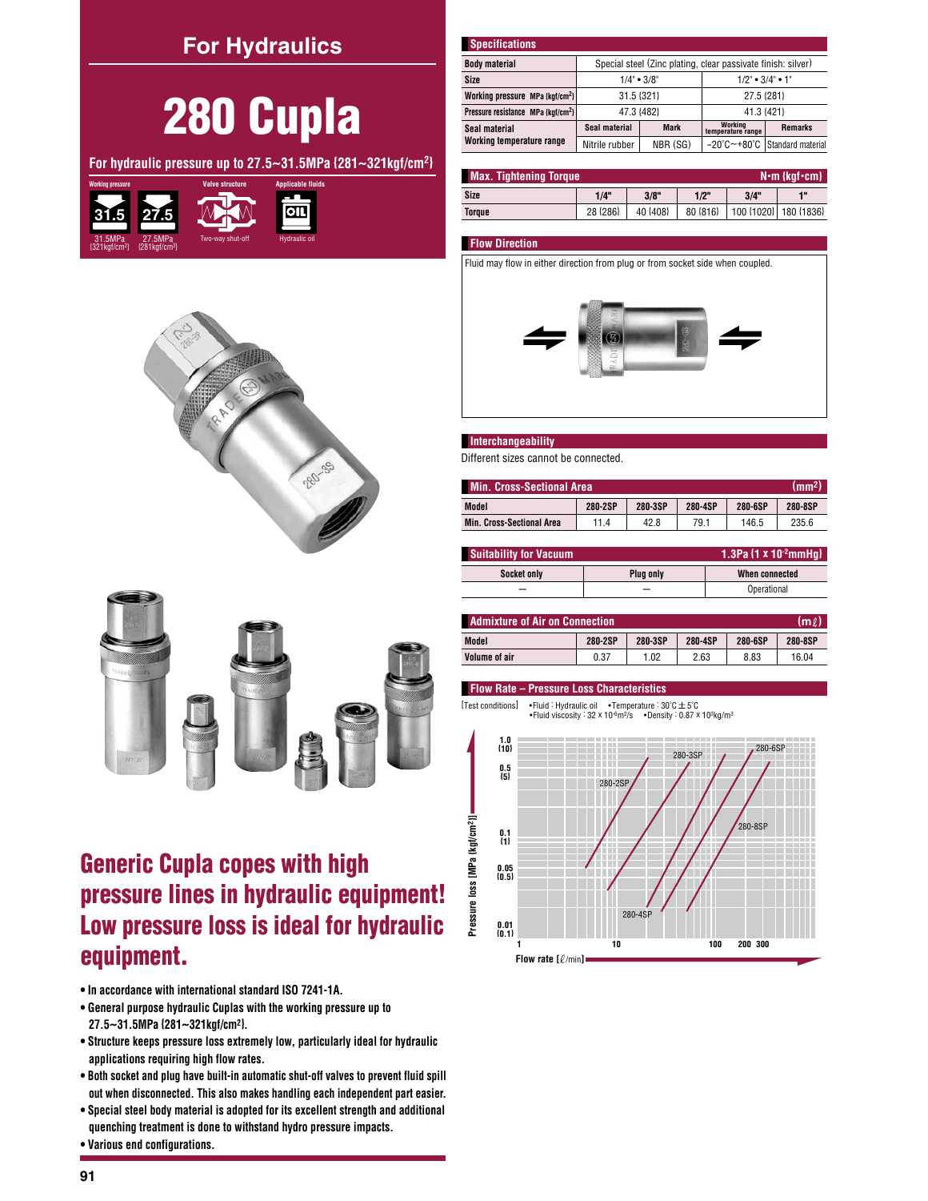### **For Hydraulics**

# 280 Cupla

For hydraulic pressure up to 27.5~31.5MPa {281~321kgf/cm<sup>2</sup>}







### **Generic Cupla copes with high** pressure lines in hydraulic equipment! Low pressure loss is ideal for hydraulic equipment.

- . In accordance with international standard ISO 7241-1A.
- . General purpose hydraulic Cuplas with the working pressure up to 27.5~31.5MPa {281~321kgf/cm2}.
- . Structure keeps pressure loss extremely low, particularly ideal for hydraulic applications requiring high flow rates.
- . Both socket and plug have built-in automatic shut-off valves to prevent fluid spill out when disconnected. This also makes handling each independent part easier.
- . Special steel body material is adopted for its excellent strength and additional quenching treatment is done to withstand hydro pressure impacts.
- · Various end configurations.

| <b>Specifications</b>                          |                                                              |             |                              |                                                             |  |  |  |  |  |
|------------------------------------------------|--------------------------------------------------------------|-------------|------------------------------|-------------------------------------------------------------|--|--|--|--|--|
| <b>Body material</b>                           | Special steel (Zinc plating, clear passivate finish: silver) |             |                              |                                                             |  |  |  |  |  |
| <b>Size</b>                                    | $1/2$ " • $3/4$ " • 1"<br>$1/4$ " • $3/8$ "                  |             |                              |                                                             |  |  |  |  |  |
| Working pressure MPa {kgf/cm <sup>2</sup> }    |                                                              | 31.5 (321)  | 27.5 {281}                   |                                                             |  |  |  |  |  |
| Pressure resistance MPa {kqf/cm <sup>2</sup> } |                                                              | 47.3 {482}  | 41.3 {421}                   |                                                             |  |  |  |  |  |
| Seal material                                  | Seal material                                                | <b>Mark</b> | Working<br>temperature range | <b>Remarks</b>                                              |  |  |  |  |  |
| Working temperature range                      | Nitrile rubber                                               | NBR (SG)    |                              | $-20^{\circ}$ C $\sim$ +80 $^{\circ}$ C   Standard material |  |  |  |  |  |

| <b>Max. Tightening Torque</b><br>$N \cdot m$ {kgf $\cdot$ cm} |          |          |          |      |                       |  |  |  |
|---------------------------------------------------------------|----------|----------|----------|------|-----------------------|--|--|--|
| Size                                                          | 1/4"     | 3/8"     | $1/2$ "  | 3/4" |                       |  |  |  |
| <b>Toraue</b>                                                 | 28 {286} | 40 {408} | 80 {816} |      | 100 {1020} 180 {1836} |  |  |  |

#### **Flow Direction**

Fluid may flow in either direction from plug or from socket side when coupled.



#### Interchangeability

Different sizes cannot be connected.

| Min. Cross-Sectional Area<br>(mm <sup>2</sup> )   |      |      |      |       |       |  |  |  |
|---------------------------------------------------|------|------|------|-------|-------|--|--|--|
| 280-2SP<br>280-3SP<br>280-4SP<br>280-6SP<br>Model |      |      |      |       |       |  |  |  |
| <b>Min. Cross-Sectional Area</b>                  | 11.4 | 42.8 | 79.1 | 146.5 | 235.6 |  |  |  |

| 1.3Pa $\{1 \times 10^{-2}$ mmHq $\}$<br><b>Suitability for Vacuum</b> |                  |                |  |  |  |
|-----------------------------------------------------------------------|------------------|----------------|--|--|--|
| Socket only                                                           | <b>Plug only</b> | When connected |  |  |  |
|                                                                       |                  | Operational    |  |  |  |

| <b>Admixture of Air on Connection</b><br>$(m \ell)$ |         |         |         |         |         |  |  |  |
|-----------------------------------------------------|---------|---------|---------|---------|---------|--|--|--|
| Model                                               | 280-2SP | 280-3SP | 280-4SP | 280-6SP | 280-8SP |  |  |  |
| Volume of air                                       | 0.37    | 1.02    | 2.63    | 8.83    | 16.04   |  |  |  |

#### Flow Rate - Pressure Loss Characteristics

• Fluid : Hydraulic oil • Temperature :  $30^{\circ}$ C  $\pm$  5 $^{\circ}$ C [Test conditions] • Fluid viscosity :  $32 \times 10^{-6} \text{m}^2/\text{s}$  • Density :  $0.87 \times 10^{3} \text{kg/m}^3$